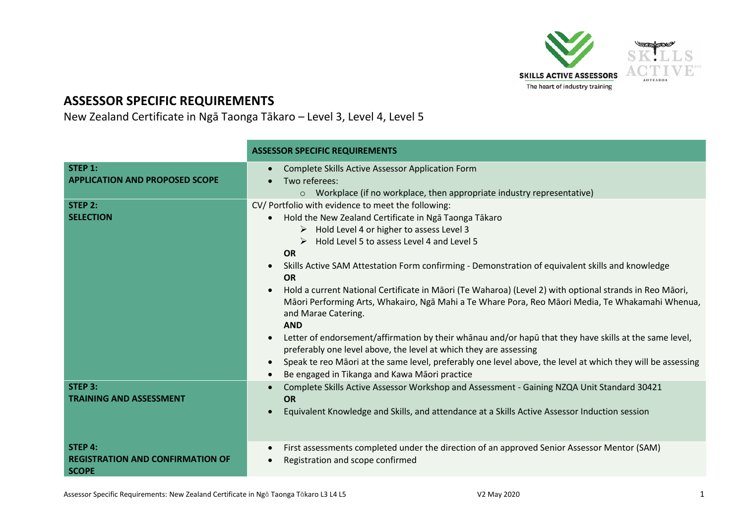

## **ASSESSOR SPECIFIC REQUIREMENTS**

New Zealand Certificate in Ngā Taonga Tākaro – Level 3, Level 4, Level 5

|                                                                    | <b>ASSESSOR SPECIFIC REQUIREMENTS</b>                                                                                                                                                                                                                                                                                                                                                                                                                                                                                                                                                                                                                                                                                                                                                                                                                                                                                                                                |  |  |
|--------------------------------------------------------------------|----------------------------------------------------------------------------------------------------------------------------------------------------------------------------------------------------------------------------------------------------------------------------------------------------------------------------------------------------------------------------------------------------------------------------------------------------------------------------------------------------------------------------------------------------------------------------------------------------------------------------------------------------------------------------------------------------------------------------------------------------------------------------------------------------------------------------------------------------------------------------------------------------------------------------------------------------------------------|--|--|
| STEP 1:<br><b>APPLICATION AND PROPOSED SCOPE</b>                   | Complete Skills Active Assessor Application Form<br>Two referees:<br>○ Workplace (if no workplace, then appropriate industry representative)                                                                                                                                                                                                                                                                                                                                                                                                                                                                                                                                                                                                                                                                                                                                                                                                                         |  |  |
| STEP 2:<br><b>SELECTION</b>                                        | CV/ Portfolio with evidence to meet the following:<br>Hold the New Zealand Certificate in Nga Taonga Takaro<br>$\bullet$<br>$\triangleright$ Hold Level 4 or higher to assess Level 3<br>Hold Level 5 to assess Level 4 and Level 5<br><b>OR</b><br>Skills Active SAM Attestation Form confirming - Demonstration of equivalent skills and knowledge<br><b>OR</b><br>Hold a current National Certificate in Māori (Te Waharoa) (Level 2) with optional strands in Reo Māori,<br>Māori Performing Arts, Whakairo, Ngā Mahi a Te Whare Pora, Reo Māori Media, Te Whakamahi Whenua,<br>and Marae Catering.<br><b>AND</b><br>Letter of endorsement/affirmation by their whanau and/or hapu that they have skills at the same level,<br>preferably one level above, the level at which they are assessing<br>Speak te reo Māori at the same level, preferably one level above, the level at which they will be assessing<br>Be engaged in Tikanga and Kawa Māori practice |  |  |
| STEP 3:<br><b>TRAINING AND ASSESSMENT</b>                          | Complete Skills Active Assessor Workshop and Assessment - Gaining NZQA Unit Standard 30421<br><b>OR</b><br>Equivalent Knowledge and Skills, and attendance at a Skills Active Assessor Induction session                                                                                                                                                                                                                                                                                                                                                                                                                                                                                                                                                                                                                                                                                                                                                             |  |  |
| STEP 4:<br><b>REGISTRATION AND CONFIRMATION OF</b><br><b>SCOPE</b> | First assessments completed under the direction of an approved Senior Assessor Mentor (SAM)<br>Registration and scope confirmed<br>$\bullet$                                                                                                                                                                                                                                                                                                                                                                                                                                                                                                                                                                                                                                                                                                                                                                                                                         |  |  |